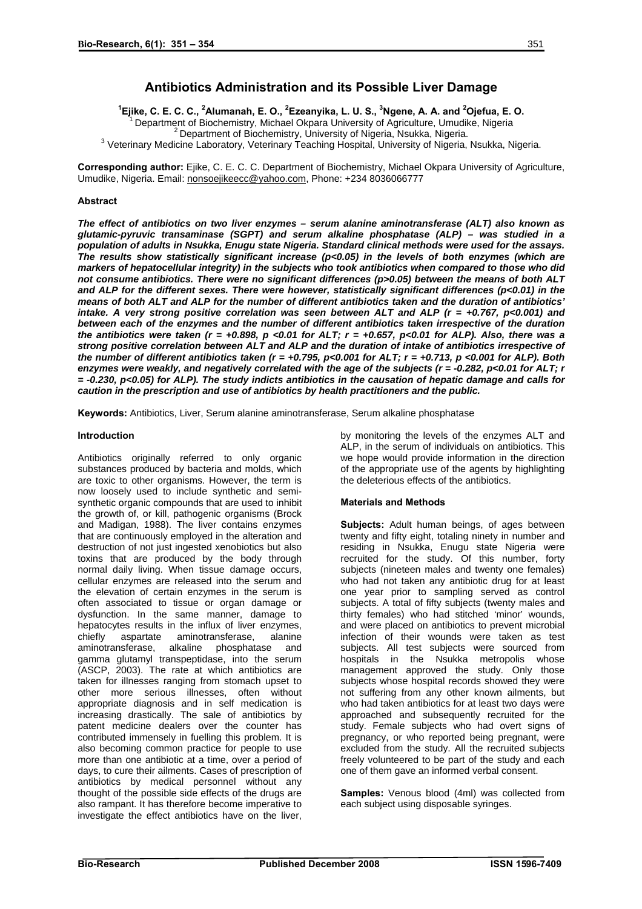# **Antibiotics Administration and its Possible Liver Damage**

**1 Ejike, C. E. C. C., 2 Alumanah, E. O., 2 Ezeanyika, L. U. S., <sup>3</sup> Ngene, A. A. and <sup>2</sup>** Department of Biochemistry, Michael Okpara University of Agriculture, Umudike, Nigeria <sup>2</sup> Department of Biochemistry, University of Nigeria, Nsukka, Nigeria. <sup>3</sup> Veterinary Medicine Laboratory, Veterinary Teaching Hospital, University of Nigeria, Nsukka, Nigeria.

**Corresponding author:** Ejike, C. E. C. C. Department of Biochemistry, Michael Okpara University of Agriculture, Umudike, Nigeria. Email: [nonsoejikeecc@yahoo.com,](mailto:nonsoejikeecc@yahoo.com) Phone: +234 8036066777

## **Abstract**

*The effect of antibiotics on two liver enzymes – serum alanine aminotransferase (ALT) also known as glutamic-pyruvic transaminase (SGPT) and serum alkaline phosphatase (ALP) – was studied in a population of adults in Nsukka, Enugu state Nigeria. Standard clinical methods were used for the assays. The results show statistically significant increase (p<0.05) in the levels of both enzymes (which are markers of hepatocellular integrity) in the subjects who took antibiotics when compared to those who did not consume antibiotics. There were no significant differences (p>0.05) between the means of both ALT and ALP for the different sexes. There were however, statistically significant differences (p<0.01) in the means of both ALT and ALP for the number of different antibiotics taken and the duration of antibiotics' intake. A very strong positive correlation was seen between ALT and ALP (r = +0.767, p<0.001) and between each of the enzymes and the number of different antibiotics taken irrespective of the duration the antibiotics were taken (r = +0.898, p <0.01 for ALT; r = +0.657, p<0.01 for ALP). Also, there was a strong positive correlation between ALT and ALP and the duration of intake of antibiotics irrespective of the number of different antibiotics taken (r = +0.795, p<0.001 for ALT; r = +0.713, p <0.001 for ALP). Both enzymes were weakly, and negatively correlated with the age of the subjects (r = -0.282, p<0.01 for ALT; r = -0.230, p<0.05) for ALP). The study indicts antibiotics in the causation of hepatic damage and calls for caution in the prescription and use of antibiotics by health practitioners and the public.* 

**Keywords:** Antibiotics, Liver, Serum alanine aminotransferase, Serum alkaline phosphatase

### **Introduction**

Antibiotics originally referred to only organic substances produced by bacteria and molds, which are toxic to other organisms. However, the term is now loosely used to include synthetic and semisynthetic organic compounds that are used to inhibit the growth of, or kill, pathogenic organisms (Brock and Madigan, 1988). The liver contains enzymes that are continuously employed in the alteration and destruction of not just ingested xenobiotics but also toxins that are produced by the body through normal daily living. When tissue damage occurs, cellular enzymes are released into the serum and the elevation of certain enzymes in the serum is often associated to tissue or organ damage or dysfunction. In the same manner, damage to hepatocytes results in the influx of liver enzymes, chiefly aspartate aminotransferase, alanine aminotransferase, alkaline phosphatase and gamma glutamyl transpeptidase, into the serum (ASCP, 2003). The rate at which antibiotics are taken for illnesses ranging from stomach upset to other more serious illnesses, often without appropriate diagnosis and in self medication is increasing drastically. The sale of antibiotics by patent medicine dealers over the counter has contributed immensely in fuelling this problem. It is also becoming common practice for people to use more than one antibiotic at a time, over a period of days, to cure their ailments. Cases of prescription of antibiotics by medical personnel without any thought of the possible side effects of the drugs are also rampant. It has therefore become imperative to investigate the effect antibiotics have on the liver,

by monitoring the levels of the enzymes ALT and ALP, in the serum of individuals on antibiotics. This we hope would provide information in the direction of the appropriate use of the agents by highlighting the deleterious effects of the antibiotics.

### **Materials and Methods**

**Subjects:** Adult human beings, of ages between twenty and fifty eight, totaling ninety in number and residing in Nsukka, Enugu state Nigeria were recruited for the study. Of this number, forty subjects (nineteen males and twenty one females) who had not taken any antibiotic drug for at least one year prior to sampling served as control subjects. A total of fifty subjects (twenty males and thirty females) who had stitched 'minor' wounds, and were placed on antibiotics to prevent microbial infection of their wounds were taken as test subjects. All test subjects were sourced from hospitals in the Nsukka metropolis whose management approved the study. Only those subjects whose hospital records showed they were not suffering from any other known ailments, but who had taken antibiotics for at least two days were approached and subsequently recruited for the study. Female subjects who had overt signs of pregnancy, or who reported being pregnant, were excluded from the study. All the recruited subjects freely volunteered to be part of the study and each one of them gave an informed verbal consent.

**Samples:** Venous blood (4ml) was collected from each subject using disposable syringes.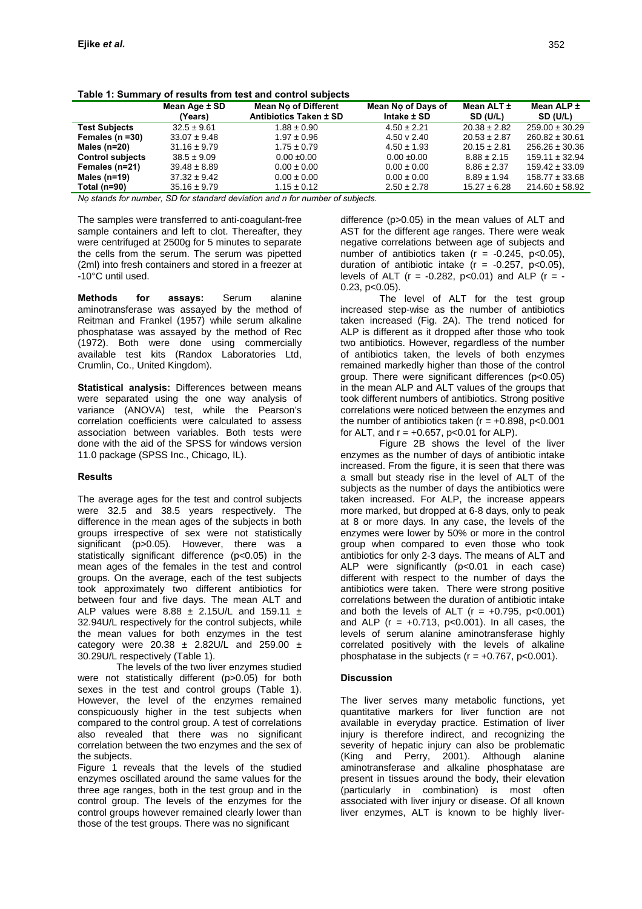|                         | Mean Age ± SD<br>(Years) | <b>Mean No of Different</b><br>Antibiotics Taken ± SD | Mean No of Days of<br>Intake ± SD | Mean ALT ±<br>SD (U/L) | Mean ALP ±<br>SD (U/L) |
|-------------------------|--------------------------|-------------------------------------------------------|-----------------------------------|------------------------|------------------------|
| <b>Test Subjects</b>    | $32.5 \pm 9.61$          | $1.88 \pm 0.90$                                       | $4.50 \pm 2.21$                   | $20.38 \pm 2.82$       | $259.00 \pm 30.29$     |
| Females ( $n = 30$ )    | $33.07 \pm 9.48$         | $1.97 \pm 0.96$                                       | 4.50 v 2.40                       | $20.53 \pm 2.87$       | $260.82 \pm 30.61$     |
| Males ( $n=20$ )        | $31.16 \pm 9.79$         | $1.75 \pm 0.79$                                       | $4.50 \pm 1.93$                   | $20.15 \pm 2.81$       | $256.26 \pm 30.36$     |
| <b>Control subjects</b> | $38.5 \pm 9.09$          | $0.00 \pm 0.00$                                       | $0.00 \pm 0.00$                   | $8.88 \pm 2.15$        | $159.11 \pm 32.94$     |
| Females (n=21)          | $39.48 \pm 8.89$         | $0.00 \pm 0.00$                                       | $0.00 \pm 0.00$                   | $8.86 \pm 2.37$        | $159.42 \pm 33.09$     |
| Males $(n=19)$          | $37.32 \pm 9.42$         | $0.00 \pm 0.00$                                       | $0.00 \pm 0.00$                   | $8.89 \pm 1.94$        | $158.77 \pm 33.68$     |
| Total (n=90)            | $35.16 \pm 9.79$         | $1.15 \pm 0.12$                                       | $2.50 \pm 2.78$                   | $15.27 \pm 6.28$       | $214.60 \pm 58.92$     |

**Table 1: Summary of results from test and control subjects** 

*Nọ stands for number, SD for standard deviation and n for number of subjects.* 

The samples were transferred to anti-coagulant-free sample containers and left to clot. Thereafter, they were centrifuged at 2500g for 5 minutes to separate the cells from the serum. The serum was pipetted (2ml) into fresh containers and stored in a freezer at -10°C until used.

**Methods for assays:** Serum alanine aminotransferase was assayed by the method of Reitman and Frankel (1957) while serum alkaline phosphatase was assayed by the method of Rec (1972). Both were done using commercially available test kits (Randox Laboratories Ltd, Crumlin, Co., United Kingdom).

**Statistical analysis:** Differences between means were separated using the one way analysis of variance (ANOVA) test, while the Pearson's correlation coefficients were calculated to assess association between variables. Both tests were done with the aid of the SPSS for windows version 11.0 package (SPSS Inc., Chicago, IL).

### **Results**

The average ages for the test and control subjects were 32.5 and 38.5 years respectively. The difference in the mean ages of the subjects in both groups irrespective of sex were not statistically significant (p>0.05). However, there was a statistically significant difference (p<0.05) in the mean ages of the females in the test and control groups. On the average, each of the test subjects took approximately two different antibiotics for between four and five days. The mean ALT and ALP values were  $8.88 \pm 2.15$ U/L and  $159.11 \pm$ 32.94U/L respectively for the control subjects, while the mean values for both enzymes in the test category were 20.38  $\pm$  2.82U/L and 259.00  $\pm$ 30.29U/L respectively (Table 1).

The levels of the two liver enzymes studied were not statistically different (p>0.05) for both sexes in the test and control groups (Table 1). However, the level of the enzymes remained conspicuously higher in the test subjects when compared to the control group. A test of correlations also revealed that there was no significant correlation between the two enzymes and the sex of the subjects.

Figure 1 reveals that the levels of the studied enzymes oscillated around the same values for the three age ranges, both in the test group and in the control group. The levels of the enzymes for the control groups however remained clearly lower than those of the test groups. There was no significant

difference (p>0.05) in the mean values of ALT and AST for the different age ranges. There were weak negative correlations between age of subjects and number of antibiotics taken ( $r = -0.245$ ,  $p < 0.05$ ), duration of antibiotic intake  $(r = -0.257, p < 0.05)$ , levels of ALT ( $r = -0.282$ ,  $p < 0.01$ ) and ALP ( $r = -1$ 0.23, p<0.05).

The level of ALT for the test group increased step-wise as the number of antibiotics taken increased (Fig. 2A). The trend noticed for ALP is different as it dropped after those who took two antibiotics. However, regardless of the number of antibiotics taken, the levels of both enzymes remained markedly higher than those of the control group. There were significant differences (p<0.05) in the mean ALP and ALT values of the groups that took different numbers of antibiotics. Strong positive correlations were noticed between the enzymes and the number of antibiotics taken  $(r = +0.898, p < 0.001)$ for ALT, and  $r = +0.657$ ,  $p < 0.01$  for ALP).

Figure 2B shows the level of the liver enzymes as the number of days of antibiotic intake increased. From the figure, it is seen that there was a small but steady rise in the level of ALT of the subjects as the number of days the antibiotics were taken increased. For ALP, the increase appears more marked, but dropped at 6-8 days, only to peak at 8 or more days. In any case, the levels of the enzymes were lower by 50% or more in the control group when compared to even those who took antibiotics for only 2-3 days. The means of ALT and ALP were significantly (p<0.01 in each case) different with respect to the number of days the antibiotics were taken. There were strong positive correlations between the duration of antibiotic intake and both the levels of ALT ( $r = +0.795$ ,  $p < 0.001$ ) and ALP ( $r = +0.713$ ,  $p < 0.001$ ). In all cases, the levels of serum alanine aminotransferase highly correlated positively with the levels of alkaline phosphatase in the subjects ( $r = +0.767$ ,  $p < 0.001$ ).

### **Discussion**

The liver serves many metabolic functions, yet quantitative markers for liver function are not available in everyday practice. Estimation of liver injury is therefore indirect, and recognizing the severity of hepatic injury can also be problematic (King and Perry, 2001). Although alanine aminotransferase and alkaline phosphatase are present in tissues around the body, their elevation (particularly in combination) is most often associated with liver injury or disease. Of all known liver enzymes, ALT is known to be highly liver-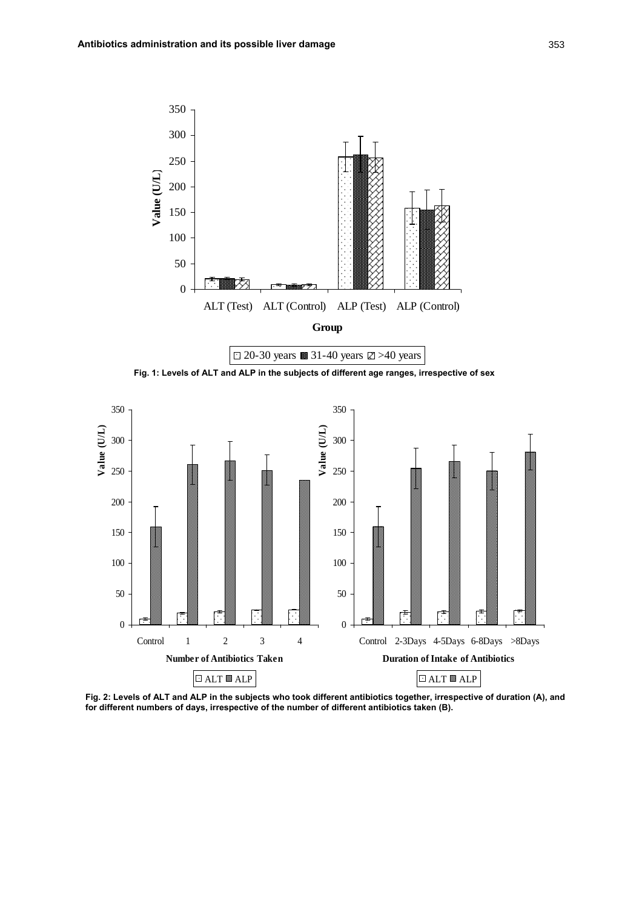





**Fig. 2: Levels of ALT and ALP in the subjects who took different antibiotics together, irrespective of duration (A), and for different numbers of days, irrespective of the number of different antibiotics taken (B).**